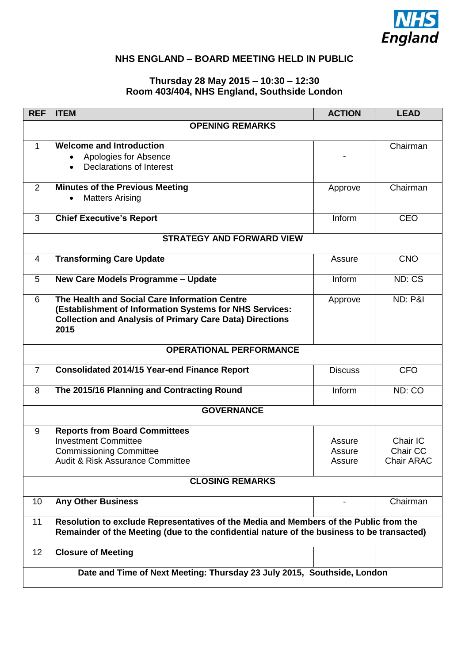

## **NHS ENGLAND – BOARD MEETING HELD IN PUBLIC**

## **Thursday 28 May 2015 – 10:30 – 12:30 Room 403/404, NHS England, Southside London**

| <b>REF</b>             | <b>ITEM</b>                                                                                | <b>ACTION</b>  | <b>LEAD</b>        |  |  |
|------------------------|--------------------------------------------------------------------------------------------|----------------|--------------------|--|--|
| <b>OPENING REMARKS</b> |                                                                                            |                |                    |  |  |
| $\mathbf{1}$           | <b>Welcome and Introduction</b>                                                            |                | Chairman           |  |  |
|                        | Apologies for Absence                                                                      |                |                    |  |  |
|                        | <b>Declarations of Interest</b>                                                            |                |                    |  |  |
|                        |                                                                                            |                |                    |  |  |
| 2                      | <b>Minutes of the Previous Meeting</b>                                                     | Approve        | Chairman           |  |  |
|                        | <b>Matters Arising</b>                                                                     |                |                    |  |  |
|                        |                                                                                            |                |                    |  |  |
| 3                      | <b>Chief Executive's Report</b>                                                            | Inform         | <b>CEO</b>         |  |  |
|                        | <b>STRATEGY AND FORWARD VIEW</b>                                                           |                |                    |  |  |
|                        |                                                                                            |                |                    |  |  |
| 4                      | <b>Transforming Care Update</b>                                                            | Assure         | <b>CNO</b>         |  |  |
|                        |                                                                                            |                |                    |  |  |
| 5                      | New Care Models Programme - Update                                                         | Inform         | ND: CS             |  |  |
| 6                      | The Health and Social Care Information Centre                                              | Approve        | <b>ND: P&amp;I</b> |  |  |
|                        | (Establishment of Information Systems for NHS Services:                                    |                |                    |  |  |
|                        | <b>Collection and Analysis of Primary Care Data) Directions</b>                            |                |                    |  |  |
|                        | 2015                                                                                       |                |                    |  |  |
|                        |                                                                                            |                |                    |  |  |
|                        | <b>OPERATIONAL PERFORMANCE</b>                                                             |                |                    |  |  |
| $\overline{7}$         | <b>Consolidated 2014/15 Year-end Finance Report</b>                                        | <b>Discuss</b> | <b>CFO</b>         |  |  |
|                        |                                                                                            |                |                    |  |  |
| 8                      | The 2015/16 Planning and Contracting Round                                                 | Inform         | ND: CO             |  |  |
|                        |                                                                                            |                |                    |  |  |
| <b>GOVERNANCE</b>      |                                                                                            |                |                    |  |  |
| 9                      | <b>Reports from Board Committees</b>                                                       |                |                    |  |  |
|                        | <b>Investment Committee</b>                                                                | Assure         | Chair IC           |  |  |
|                        | <b>Commissioning Committee</b>                                                             | Assure         | Chair CC           |  |  |
|                        | Audit & Risk Assurance Committee                                                           | Assure         | <b>Chair ARAC</b>  |  |  |
|                        |                                                                                            |                |                    |  |  |
| <b>CLOSING REMARKS</b> |                                                                                            |                |                    |  |  |
|                        |                                                                                            |                |                    |  |  |
| 10                     | <b>Any Other Business</b>                                                                  |                | Chairman           |  |  |
| 11                     | Resolution to exclude Representatives of the Media and Members of the Public from the      |                |                    |  |  |
|                        | Remainder of the Meeting (due to the confidential nature of the business to be transacted) |                |                    |  |  |
|                        |                                                                                            |                |                    |  |  |
| 12                     | <b>Closure of Meeting</b>                                                                  |                |                    |  |  |
|                        |                                                                                            |                |                    |  |  |
|                        | Date and Time of Next Meeting: Thursday 23 July 2015, Southside, London                    |                |                    |  |  |